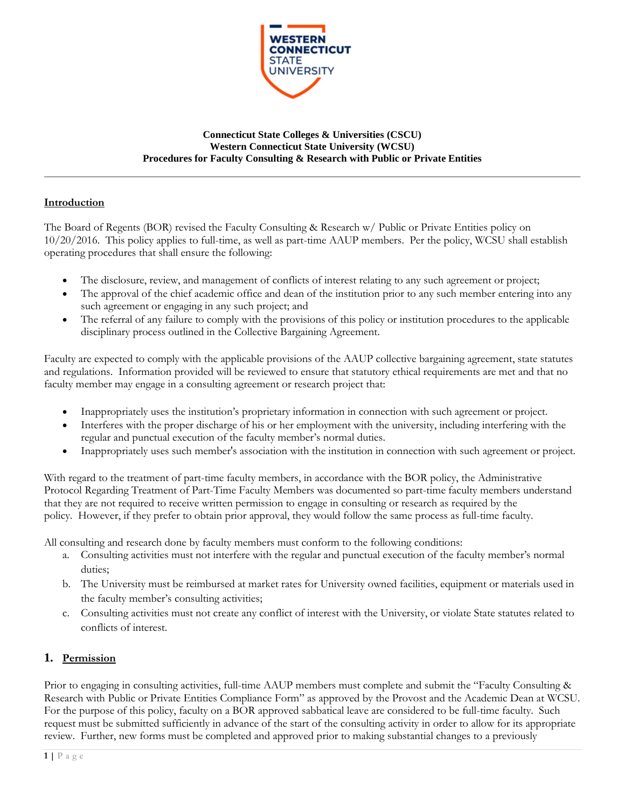

#### **Connecticut State Colleges & Universities (CSCU) Western Connecticut State University (WCSU) Procedures for Faculty Consulting & Research with Public or Private Entities**

### **Introduction**

The Board of Regents (BOR) revised the Faculty Consulting & Research w/ Public or Private Entities policy on 10/20/2016. This policy applies to full-time, as well as part-time AAUP members. Per the policy, WCSU shall establish operating procedures that shall ensure the following:

- The disclosure, review, and management of conflicts of interest relating to any such agreement or project;
- The approval of the chief academic office and dean of the institution prior to any such member entering into any such agreement or engaging in any such project; and
- The referral of any failure to comply with the provisions of this policy or institution procedures to the applicable disciplinary process outlined in the Collective Bargaining Agreement.

Faculty are expected to comply with the applicable provisions of the AAUP collective bargaining agreement, state statutes and regulations. Information provided will be reviewed to ensure that statutory ethical requirements are met and that no faculty member may engage in a consulting agreement or research project that:

- Inappropriately uses the institution's proprietary information in connection with such agreement or project.
- Interferes with the proper discharge of his or her employment with the university, including interfering with the regular and punctual execution of the faculty member's normal duties.
- Inappropriately uses such member's association with the institution in connection with such agreement or project.

With regard to the treatment of part-time faculty members, in accordance with the BOR policy, the Administrative Protocol Regarding Treatment of Part-Time Faculty Members was documented so part-time faculty members understand that they are not required to receive written permission to engage in consulting or research as required by the policy. However, if they prefer to obtain prior approval, they would follow the same process as full-time faculty.

All consulting and research done by faculty members must conform to the following conditions:

- a. Consulting activities must not interfere with the regular and punctual execution of the faculty member's normal duties;
- b. The University must be reimbursed at market rates for University owned facilities, equipment or materials used in the faculty member's consulting activities;
- c. Consulting activities must not create any conflict of interest with the University, or violate State statutes related to conflicts of interest.

# **1. Permission**

Prior to engaging in consulting activities, full-time AAUP members must complete and submit the "Faculty Consulting & Research with Public or Private Entities Compliance Form" as approved by the Provost and the Academic Dean at WCSU. For the purpose of this policy, faculty on a BOR approved sabbatical leave are considered to be full-time faculty. Such request must be submitted sufficiently in advance of the start of the consulting activity in order to allow for its appropriate review. Further, new forms must be completed and approved prior to making substantial changes to a previously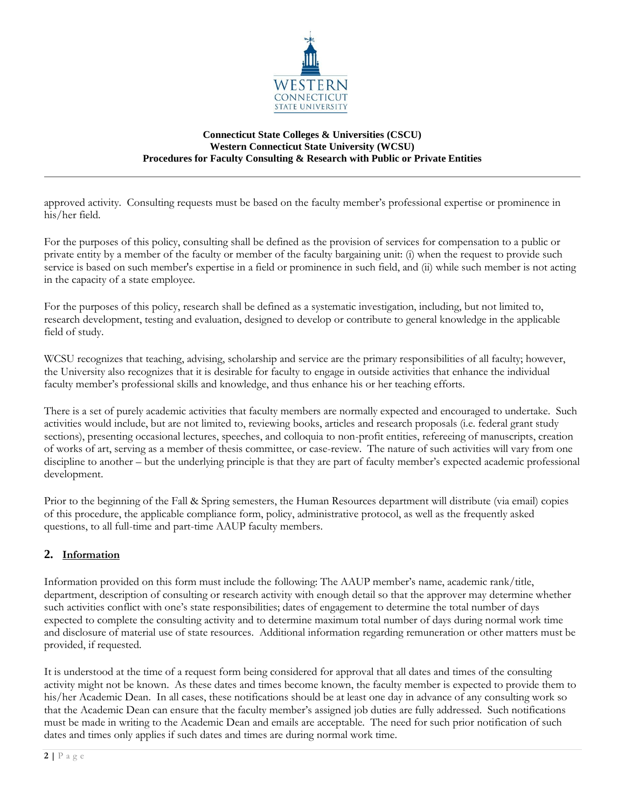

#### **Connecticut State Colleges & Universities (CSCU) Western Connecticut State University (WCSU) Procedures for Faculty Consulting & Research with Public or Private Entities**

approved activity. Consulting requests must be based on the faculty member's professional expertise or prominence in his/her field.

For the purposes of this policy, consulting shall be defined as the provision of services for compensation to a public or private entity by a member of the faculty or member of the faculty bargaining unit: (i) when the request to provide such service is based on such member's expertise in a field or prominence in such field, and (ii) while such member is not acting in the capacity of a state employee.

For the purposes of this policy, research shall be defined as a systematic investigation, including, but not limited to, research development, testing and evaluation, designed to develop or contribute to general knowledge in the applicable field of study.

WCSU recognizes that teaching, advising, scholarship and service are the primary responsibilities of all faculty; however, the University also recognizes that it is desirable for faculty to engage in outside activities that enhance the individual faculty member's professional skills and knowledge, and thus enhance his or her teaching efforts.

There is a set of purely academic activities that faculty members are normally expected and encouraged to undertake. Such activities would include, but are not limited to, reviewing books, articles and research proposals (i.e. federal grant study sections), presenting occasional lectures, speeches, and colloquia to non-profit entities, refereeing of manuscripts, creation of works of art, serving as a member of thesis committee, or case-review. The nature of such activities will vary from one discipline to another – but the underlying principle is that they are part of faculty member's expected academic professional development.

Prior to the beginning of the Fall & Spring semesters, the Human Resources department will distribute (via email) copies of this procedure, the applicable compliance form, policy, administrative protocol, as well as the frequently asked questions, to all full-time and part-time AAUP faculty members.

# **2. Information**

Information provided on this form must include the following: The AAUP member's name, academic rank/title, department, description of consulting or research activity with enough detail so that the approver may determine whether such activities conflict with one's state responsibilities; dates of engagement to determine the total number of days expected to complete the consulting activity and to determine maximum total number of days during normal work time and disclosure of material use of state resources. Additional information regarding remuneration or other matters must be provided, if requested.

It is understood at the time of a request form being considered for approval that all dates and times of the consulting activity might not be known. As these dates and times become known, the faculty member is expected to provide them to his/her Academic Dean. In all cases, these notifications should be at least one day in advance of any consulting work so that the Academic Dean can ensure that the faculty member's assigned job duties are fully addressed. Such notifications must be made in writing to the Academic Dean and emails are acceptable. The need for such prior notification of such dates and times only applies if such dates and times are during normal work time.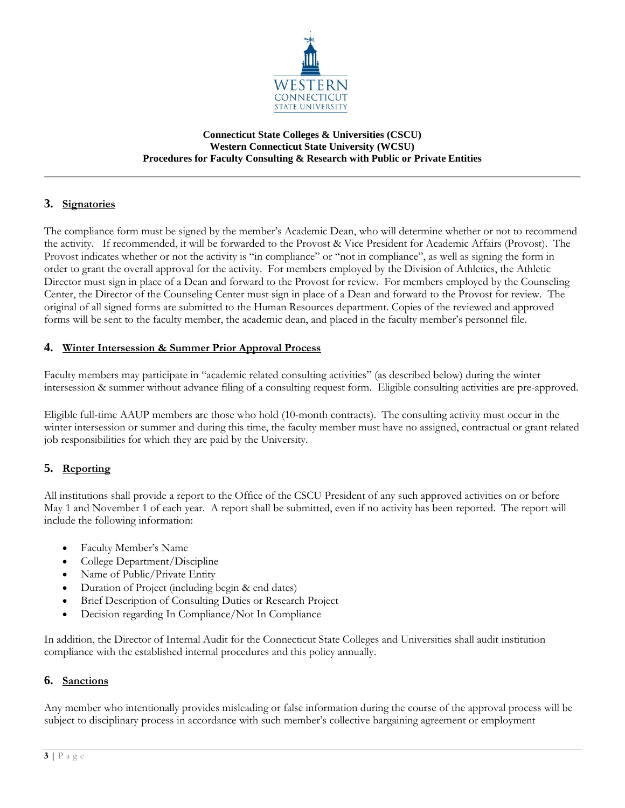

#### **Connecticut State Colleges & Universities (CSCU) Western Connecticut State University (WCSU) Procedures for Faculty Consulting & Research with Public or Private Entities**

## **3. Signatories**

The compliance form must be signed by the member's Academic Dean, who will determine whether or not to recommend the activity. If recommended, it will be forwarded to the Provost & Vice President for Academic Affairs (Provost). The Provost indicates whether or not the activity is "in compliance" or "not in compliance", as well as signing the form in order to grant the overall approval for the activity. For members employed by the Division of Athletics, the Athletic Director must sign in place of a Dean and forward to the Provost for review. For members employed by the Counseling Center, the Director of the Counseling Center must sign in place of a Dean and forward to the Provost for review. The original of all signed forms are submitted to the Human Resources department. Copies of the reviewed and approved forms will be sent to the faculty member, the academic dean, and placed in the faculty member's personnel file.

### **4. Winter Intersession & Summer Prior Approval Process**

Faculty members may participate in "academic related consulting activities" (as described below) during the winter intersession & summer without advance filing of a consulting request form. Eligible consulting activities are pre-approved.

Eligible full-time AAUP members are those who hold (10-month contracts). The consulting activity must occur in the winter intersession or summer and during this time, the faculty member must have no assigned, contractual or grant related job responsibilities for which they are paid by the University.

### **5. Reporting**

All institutions shall provide a report to the Office of the CSCU President of any such approved activities on or before May 1 and November 1 of each year. A report shall be submitted, even if no activity has been reported. The report will include the following information:

- Faculty Member's Name
- College Department/Discipline
- Name of Public/Private Entity
- Duration of Project (including begin & end dates)
- Brief Description of Consulting Duties or Research Project
- Decision regarding In Compliance/Not In Compliance

In addition, the Director of Internal Audit for the Connecticut State Colleges and Universities shall audit institution compliance with the established internal procedures and this policy annually.

### **6. Sanctions**

Any member who intentionally provides misleading or false information during the course of the approval process will be subject to disciplinary process in accordance with such member's collective bargaining agreement or employment